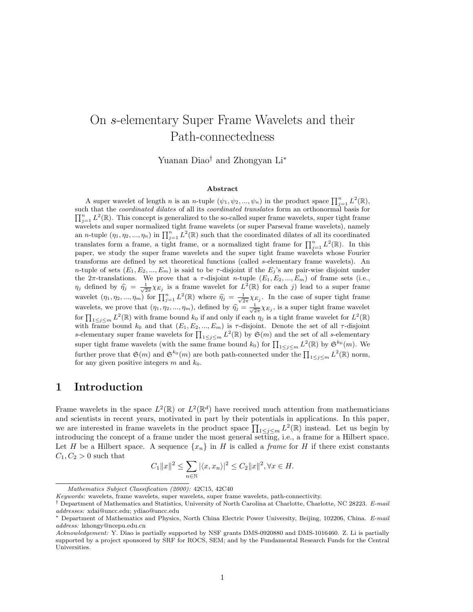# On s-elementary Super Frame Wavelets and their Path-connectedness

Yuanan Diao† and Zhongyan Li<sup>∗</sup>

#### Abstract

A super wavelet of length n is an n-tuple  $(\psi_1, \psi_2, ..., \psi_n)$  in the product space  $\prod_{j=1}^n L^2(\mathbb{R})$ , such that the *coordinated dilates* of all its *coordinated translates* form an orthonormal basis for  $\prod_{j=1}^n L^2(\mathbb{R})$ . This concept is generalized to the so-called super frame wavelets, super tight frame wavelets and super normalized tight frame wavelets (or super Parseval frame wavelets), namely an *n*-tuple  $(\eta_1, \eta_2, ..., \eta_n)$  in  $\prod_{j=1}^n L^2(\mathbb{R})$  such that the coordinated dilates of all its coordinated translates form a frame, a tight frame, or a normalized tight frame for  $\prod_{j=1}^n L^2(\mathbb{R})$ . In this paper, we study the super frame wavelets and the super tight frame wavelets whose Fourier transforms are defined by set theoretical functions (called s-elementary frame wavelets). An n-tuple of sets  $(E_1, E_2, ..., E_m)$  is said to be  $\tau$ -disjoint if the  $E_j$ 's are pair-wise disjoint under the  $2\pi$ -translations. We prove that a  $\tau$ -disjoint n-tuple  $(E_1, E_2, ..., E_m)$  of frame sets (i.e.,  $\eta_j$  defined by  $\widehat{\eta}_j = \frac{1}{\sqrt{2\pi}} \chi_{E_j}$  is a frame wavelet for  $L^2(\mathbb{R})$  for each j) lead to a super frame wavelet  $(\eta_1, \eta_2, ..., \eta_m)$  for  $\prod_{j=1}^n L^2(\mathbb{R})$  where  $\widehat{\eta}_j = \frac{1}{\sqrt{2\pi}} \chi_{E_j}$ . In the case of super tight frame wavelets, we prove that  $(\eta_1, \eta_2, ..., \eta_m)$ , defined by  $\hat{\eta}_j = \frac{1}{\sqrt{2\pi}} \chi_{E_j}$ , is a super tight frame wavelet for  $\prod_{1 \leq j \leq m} L^2(\mathbb{R})$  with frame bound  $k_0$  if and only if each  $\eta_j$  is a tight frame wavelet for  $L^2(\mathbb{R})$ with frame bound  $k_0$  and that  $(E_1, E_2, ..., E_m)$  is  $\tau$ -disjoint. Denote the set of all  $\tau$ -disjoint s-elementary super frame wavelets for  $\prod_{1 \leq j \leq m} L^2(\mathbb{R})$  by  $\mathfrak{S}(m)$  and the set of all s-elementary super tight frame wavelets (with the same frame bound  $k_0$ ) for  $\prod_{1 \le j \le m} L^2(\mathbb{R})$  by  $\mathfrak{S}^{k_0}(m)$ . We further prove that  $\mathfrak{S}(m)$  and  $\mathfrak{S}^{k_0}(m)$  are both path-connected under the  $\prod_{1 \leq j \leq m} L^2(\mathbb{R})$  norm, for any given positive integers m and  $k_0$ .

# 1 Introduction

Frame wavelets in the space  $L^2(\mathbb{R})$  or  $L^2(\mathbb{R}^d)$  have received much attention from mathematicians and scientists in recent years, motivated in part by their potentials in applications. In this paper, we are interested in frame wavelets in the product space  $\prod_{1 \leq j \leq m} L^2(\mathbb{R})$  instead. Let us begin by introducing the concept of a frame under the most general setting, i.e., a frame for a Hilbert space. Let H be a Hilbert space. A sequence  $\{x_n\}$  in H is called a frame for H if there exist constants  $C_1, C_2 > 0$  such that

$$
C_1||x||^2 \le \sum_{n\in\mathbb{N}} |\langle x, x_n\rangle|^2 \le C_2||x||^2, \forall x \in H.
$$

Mathematics Subject Classification (2000): 42C15, 42C40

Keywords: wavelets, frame wavelets, super wavelets, super frame wavelets, path-connectivity.

<sup>†</sup> Department of Mathematics and Statistics, University of North Carolina at Charlotte, Charlotte, NC 28223. E-mail addresses: xdai@uncc.edu; ydiao@uncc.edu

<sup>∗</sup> Department of Mathematics and Physics, North China Electric Power University, Beijing, 102206, China. E-mail address: lzhongy@ncepu.edu.cn

Acknowledgement: Y. Diao is partially supported by NSF grants DMS-0920880 and DMS-1016460. Z. Li is partially supported by a project sponsored by SRF for ROCS, SEM; and by the Fundamental Research Funds for the Central Universities.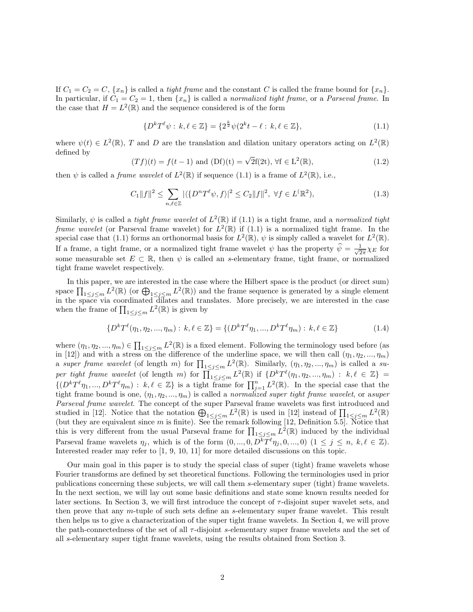If  $C_1 = C_2 = C$ ,  $\{x_n\}$  is called a *tight frame* and the constant C is called the frame bound for  $\{x_n\}$ . In particular, if  $C_1 = C_2 = 1$ , then  $\{x_n\}$  is called a normalized tight frame, or a Parseval frame. In the case that  $H = L^2(\mathbb{R})$  and the sequence considered is of the form

$$
\{D^{k}T^{\ell}\psi : k,\ell \in \mathbb{Z}\} = \{2^{\frac{k}{2}}\psi(2^{k}t - \ell : k,\ell \in \mathbb{Z}\},\tag{1.1}
$$

where  $\psi(t) \in L^2(\mathbb{R})$ , T and D are the translation and dilation unitary operators acting on  $L^2(\mathbb{R})$ defined by

$$
(Tf)(t) = f(t-1) \text{ and } (Df)(t) = \sqrt{2}f(2t), \forall f \in L^{2}(\mathbb{R}),
$$
\n(1.2)

then  $\psi$  is called a *frame wavelet* of  $L^2(\mathbb{R})$  if sequence (1.1) is a frame of  $L^2(\mathbb{R})$ , i.e.,

$$
C_1||f||^2 \le \sum_{n,\ell \in \mathbb{Z}} |\langle \{D^n T^\ell \psi, f \rangle \}^2 \le C_2||f||^2, \ \forall f \in L^2(\mathbb{R}^2),\tag{1.3}
$$

Similarly,  $\psi$  is called a *tight frame wavelet* of  $L^2(\mathbb{R})$  if (1.1) is a tight frame, and a *normalized tight* frame wavelet (or Parseval frame wavelet) for  $L^2(\mathbb{R})$  if (1.1) is a normalized tight frame. In the special case that (1.1) forms an orthonormal basis for  $L^2(\mathbb{R})$ ,  $\psi$  is simply called a wavelet for  $L^2(\mathbb{R})$ . If a frame, a tight frame, or a normalized tight frame wavelet  $\psi$  has the property  $\widehat{\psi} = \frac{1}{\sqrt{2}}$  $\frac{1}{2\pi}\chi_E$  for some measurable set  $E \subset \mathbb{R}$ , then  $\psi$  is called an s-elementary frame, tight frame, or normalized tight frame wavelet respectively.

In this paper, we are interested in the case where the Hilbert space is the product (or direct sum) space  $\prod_{1\leq j\leq m} L^2(\mathbb{R})$  (or  $\bigoplus_{1\leq j\leq m} L^2(\mathbb{R})$ ) and the frame sequence is generated by a single element in the space via coordinated dilates and translates. More precisely, we are interested in the case when the frame of  $\prod_{1 \leq j \leq m} L^2(\mathbb{R})$  is given by

$$
\{D^k T^\ell(\eta_1, \eta_2, ..., \eta_m) : k, \ell \in \mathbb{Z}\} = \{(D^k T^\ell \eta_1, ..., D^k T^\ell \eta_m) : k, \ell \in \mathbb{Z}\}
$$
(1.4)

where  $(\eta_1, \eta_2, ..., \eta_m) \in \prod_{1 \leq j \leq m} L^2(\mathbb{R})$  is a fixed element. Following the terminology used before (as in [12]) and with a stress on the difference of the underline space, we will then call  $(\eta_1, \eta_2, ..., \eta_m)$ a super frame wavelet (of length m) for  $\prod_{1 \leq j \leq m} L^2(\mathbb{R})$ . Similarly,  $(\eta_1, \eta_2, ..., \eta_m)$  is called a super tight frame wavelet (of length m) for  $\prod_{1 \leq j \leq m}^{-1} L^2(\mathbb{R})$  if  $\{D^k T^\ell(\eta_1, \eta_2, ..., \eta_m) : k, \ell \in \mathbb{Z}\}$  $\{(D^kT^{\ell}\eta_1,...,D^kT^{\ell}\eta_m): k,\ell \in \mathbb{Z}\}\$ is a tight frame for  $\prod_{j=1}^n L^2(\mathbb{R})$ . In the special case that the tight frame bound is one,  $(\eta_1, \eta_2, ..., \eta_m)$  is called a normalized super tight frame wavelet, or asuper Parseval frame wavelet. The concept of the super Parseval frame wavelets was first introduced and studied in [12]. Notice that the notation  $\bigoplus_{1\leq j\leq m} L^2(\mathbb{R})$  is used in [12] instead of  $\prod_{1\leq j\leq m} L^2(\mathbb{R})$ (but they are equivalent since  $m$  is finite). See the remark following [12, Definition 5.5]. Notice that this is very different from the usual Parseval frame for  $\prod_{1 \leq j \leq m} L^2(\mathbb{R})$  induced by the individual Parseval frame wavelets  $\eta_j$ , which is of the form  $(0, ..., 0, D^{\vec{k}} \bar{T}^{\ell} \eta_j, 0, ..., 0)$   $(1 \leq j \leq n, k, \ell \in \mathbb{Z})$ . Interested reader may refer to [1, 9, 10, 11] for more detailed discussions on this topic.

Our main goal in this paper is to study the special class of super (tight) frame wavelets whose Fourier transforms are defined by set theoretical functions. Following the terminologies used in prior publications concerning these subjects, we will call them s-elementary super (tight) frame wavelets. In the next section, we will lay out some basic definitions and state some known results needed for later sections. In Section 3, we will first introduce the concept of  $\tau$ -disjoint super wavelet sets, and then prove that any m-tuple of such sets define an s-elementary super frame wavelet. This result then helps us to give a characterization of the super tight frame wavelets. In Section 4, we will prove the path-connectedness of the set of all  $\tau$ -disjoint s-elementary super frame wavelets and the set of all s-elementary super tight frame wavelets, using the results obtained from Section 3.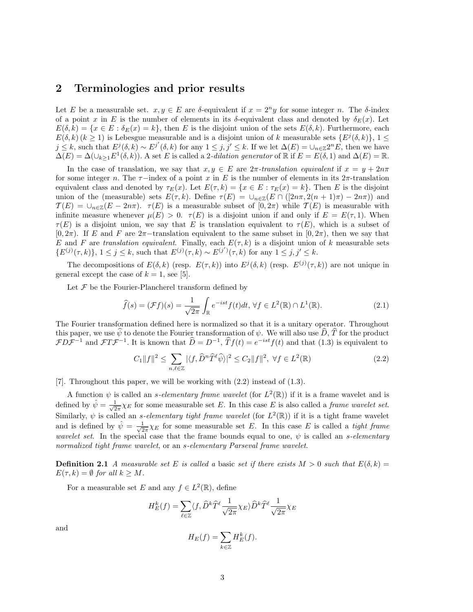### 2 Terminologies and prior results

Let E be a measurable set.  $x, y \in E$  are  $\delta$ -equivalent if  $x = 2^n y$  for some integer n. The  $\delta$ -index of a point x in E is the number of elements in its  $\delta$ -equivalent class and denoted by  $\delta_E(x)$ . Let  $E(\delta, k) = \{x \in E : \delta_E(x) = k\},\$  then E is the disjoint union of the sets  $E(\delta, k)$ . Furthermore, each  $E(\delta, k)$  ( $k \ge 1$ ) is Lebesgue measurable and is a disjoint union of k measurable sets  $\{E^j(\delta, k)\}, 1 \le$  $j \leq k$ , such that  $E^j(\delta, k) \sim E^{j'}(\delta, k)$  for any  $1 \leq j, j' \leq k$ . If we let  $\Delta(E) = \cup_{n \in \mathbb{Z}} 2^n E$ , then we have  $\Delta(E) = \Delta(\cup_{k\geq 1} E^1(\delta, k)).$  A set E is called a 2-dilation generator of R if  $E = E(\delta, 1)$  and  $\Delta(E) = \mathbb{R}$ .

In the case of translation, we say that  $x, y \in E$  are  $2\pi$ -translation equivalent if  $x = y + 2n\pi$ for some integer n. The  $\tau$ −index of a point x in E is the number of elements in its 2π-translation equivalent class and denoted by  $\tau_E(x)$ . Let  $E(\tau, k) = \{x \in E : \tau_E(x) = k\}$ . Then E is the disjoint union of the (measurable) sets  $E(\tau, k)$ . Define  $\tau(E) = \bigcup_{n \in \mathbb{Z}} (E \cap (2n\pi, 2(n+1)\pi) - 2n\pi)$  and  $\mathcal{T}(E) = \cup_{n \in \mathbb{Z}} (E - 2n\pi)$ .  $\tau(E)$  is a measurable subset of  $[0, 2\pi)$  while  $\mathcal{T}(E)$  is measurable with infinite measure whenever  $\mu(E) > 0$ .  $\tau(E)$  is a disjoint union if and only if  $E = E(\tau, 1)$ . When  $\tau(E)$  is a disjoint union, we say that E is translation equivalent to  $\tau(E)$ , which is a subset of  $[0, 2\pi)$ . If E and F are  $2\pi$ -translation equivalent to the same subset in  $[0, 2\pi)$ , then we say that E and F are translation equivalent. Finally, each  $E(\tau, k)$  is a disjoint union of k measurable sets  $\{E^{(j)}(\tau,k)\},\ 1\leq j\leq k, \text{ such that } E^{(j)}(\tau,k)\sim E^{(j')}(\tau,k) \text{ for any } 1\leq j,j'\leq k.$ 

The decompositions of  $E(\delta, k)$  (resp.  $E(\tau, k)$ ) into  $E^j(\delta, k)$  (resp.  $E^{(j)}(\tau, k)$ ) are not unique in general except the case of  $k = 1$ , see [5].

Let  $\mathcal F$  be the Fourier-Plancherel transform defined by

$$
\widehat{f}(s) = (\mathcal{F}f)(s) = \frac{1}{\sqrt{2\pi}} \int_{\mathbb{R}} e^{-ist} f(t) dt, \,\forall f \in L^{2}(\mathbb{R}) \cap L^{1}(\mathbb{R}).
$$
\n(2.1)

The Fourier transformation defined here is normalized so that it is a unitary operator. Throughout this paper, we use  $\hat{\psi}$  to denote the Fourier transformation of  $\psi$ . We will also use  $\hat{D}$ ,  $\hat{T}$  for the product  $FD\mathcal{F}^{-1}$  and  $FT\mathcal{F}^{-1}$ . It is known that  $\hat{D} = D^{-1}$ ,  $\hat{T}f(t) = e^{-ist}f(t)$  and that (1.3) is equivalent to

$$
C_1||f||^2 \le \sum_{n,\ell \in \mathbb{Z}} |\langle f, \widehat{D}^n \widehat{T}^\ell \widehat{\psi} \rangle|^2 \le C_2 ||f||^2, \ \forall f \in L^2(\mathbb{R})
$$
\n(2.2)

[7]. Throughout this paper, we will be working with (2.2) instead of (1.3).

A function  $\psi$  is called an *s*-elementary frame wavelet (for  $L^2(\mathbb{R})$ ) if it is a frame wavelet and is defined by  $\hat{\psi} = \frac{1}{\sqrt{2\pi}} \chi_E$  for some measurable set E. In this case E is also called a *frame wavelet set*. Similarly,  $\psi$  is called an *s-elementary tight frame wavelet* (for  $L^2(\mathbb{R})$ ) if it is a tight frame wavelet and is defined by  $\hat{\psi} = \frac{1}{\sqrt{2}}$  $\frac{1}{2\pi}\chi_E$  for some measurable set E. In this case E is called a *tight frame* wavelet set. In the special case that the frame bounds equal to one,  $\psi$  is called an s-elementary normalized tight frame wavelet, or an s-elementary Parseval frame wavelet.

**Definition 2.1** A measurable set E is called a basic set if there exists  $M > 0$  such that  $E(\delta, k) =$  $E(\tau, k) = \emptyset$  for all  $k \geq M$ .

For a measurable set E and any  $f \in L^2(\mathbb{R})$ , define

$$
H_E^k(f) = \sum_{\ell \in \mathbb{Z}} \langle f, \widehat{D}^k \widehat{T}^\ell \frac{1}{\sqrt{2\pi}} \chi_E \rangle \widehat{D}^k \widehat{T}^\ell \frac{1}{\sqrt{2\pi}} \chi_E
$$

and

$$
H_E(f) = \sum_{k \in \mathbb{Z}} H_E^k(f).
$$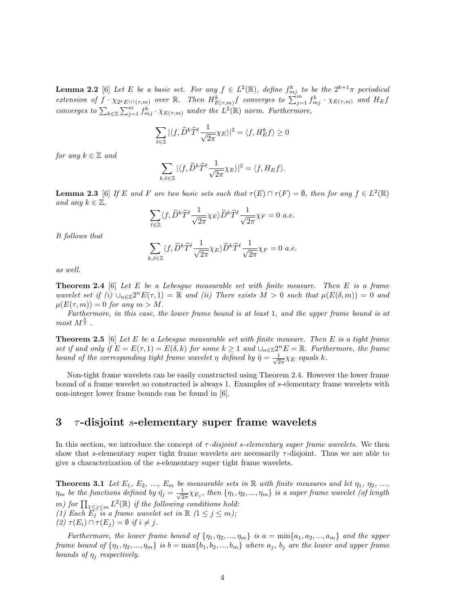**Lemma 2.2** [6] Let E be a basic set. For any  $f \in L^2(\mathbb{R})$ , define  $f_{mj}^k$  to be the  $2^{k+1}\pi$  periodical extension of  $f \cdot \chi_{2^k E^{(j)}(\tau,m)}$  over  $\mathbb{R}$ . Then  $H^k_{E(\tau,m)}f$  converges to  $\sum_{j=1}^m f^k_{mj} \cdot \chi_{E(\tau,m)}$  and  $H_Ef$ converges to  $\sum_{k\in\mathbb{Z}}\sum_{j=1}^m f_{mj}^k\cdot\chi_{E(\tau,m)}$  under the  $L^2(\mathbb{R})$  norm. Furthermore,

$$
\sum_{\ell \in \mathbb{Z}} |\langle f, \widehat{D}^k \widehat{T}^\ell \frac{1}{\sqrt{2\pi}} \chi_E \rangle|^2 = \langle f, H_E^k f \rangle \ge 0
$$

for any  $k \in \mathbb{Z}$  and

$$
\sum_{k,\ell \in \mathbb{Z}} |\langle f, \widehat{D}^k \widehat{T}^\ell \frac{1}{\sqrt{2\pi}} \chi_E \rangle|^2 = \langle f, H_E f \rangle.
$$

**Lemma 2.3** [6] If E and F are two basic sets such that  $\tau(E) \cap \tau(F) = \emptyset$ , then for any  $f \in L^2(\mathbb{R})$ and any  $k \in \mathbb{Z}$ ,

$$
\sum_{\ell \in \mathbb{Z}} \langle f, \widehat{D}^k \widehat{T}^\ell \frac{1}{\sqrt{2\pi}} \chi_E \rangle \widehat{D}^k \widehat{T}^\ell \frac{1}{\sqrt{2\pi}} \chi_F = 0 \ a.e.
$$

It follows that

$$
\sum_{k,\ell\in\mathbb{Z}}\langle f,\widehat{D}^k\widehat{T}^\ell\frac{1}{\sqrt{2\pi}}\chi_E\rangle\widehat{D}^k\widehat{T}^\ell\frac{1}{\sqrt{2\pi}}\chi_F=0\ a.e.
$$

as well.

**Theorem 2.4** [6] Let E be a Lebesgue measurable set with finite measure. Then E is a frame wavelet set if (i)  $\bigcup_{n\in\mathbb{Z}}2^nE(\tau,1)=\mathbb{R}$  and (ii) There exists  $M>0$  such that  $\mu(E(\delta,m))=0$  and  $\mu(E(\tau,m)) = 0$  for any  $m > M$ .

Furthermore, in this case, the lower frame bound is at least 1, and the upper frame bound is at  $most M^{\frac{5}{2}}$ .

**Theorem 2.5** [6] Let E be a Lebesgue measurable set with finite measure. Then E is a tight frame set if and only if  $E = E(\tau, 1) = E(\delta, k)$  for some  $k \geq 1$  and  $\bigcup_{n \in \mathbb{Z}} 2^n E = \mathbb{R}$ . Furthermore, the frame bound of the corresponding tight frame wavelet  $\eta$  defined by  $\hat{\eta} = \frac{1}{\sqrt{2}}$  $rac{1}{2\pi}\chi_E$  equals k.

Non-tight frame wavelets can be easily constructed using Theorem 2.4. However the lower frame bound of a frame wavelet so constructed is always 1. Examples of s-elementary frame wavelets with non-integer lower frame bounds can be found in [6].

## $3$   $\tau$ -disjoint s-elementary super frame wavelets

In this section, we introduce the concept of  $\tau$ -disjoint s-elementary super frame wavelets. We then show that s-elementary super tight frame wavelets are necessarily  $\tau$ -disjoint. Thus we are able to give a characterization of the s-elementary super tight frame wavelets.

**Theorem 3.1** Let  $E_1, E_2, ..., E_m$  be measurable sets in  $\mathbb R$  with finite measures and let  $\eta_1, \eta_2, ...,$  $\eta_m$  be the functions defined by  $\hat{\eta}_j = \frac{1}{\sqrt{2}}$  $\frac{1}{2\pi}\chi_{E_j}$ , then  $\{\eta_1, \eta_2, ..., \eta_m\}$  is a super frame wavelet (of length m) for  $\prod_{1 \leq j \leq m} L^2(\mathbb{R})$  if the following conditions hold: (1) Each  $\overrightarrow{E_j}$  is a frame wavelet set in  $\mathbb R$   $(1 \leq j \leq m)$ ;

(2)  $\tau(E_i) \cap \tau(E_j) = \emptyset$  if  $i \neq j$ .

Furthermore, the lower frame bound of  $\{\eta_1, \eta_2, ..., \eta_m\}$  is  $a = \min\{a_1, a_2, ..., a_m\}$  and the upper frame bound of  $\{\eta_1, \eta_2, ..., \eta_m\}$  is  $b = \max\{b_1, b_2, ..., b_m\}$  where  $a_j$ ,  $b_j$  are the lower and upper frame bounds of  $\eta_i$  respectively.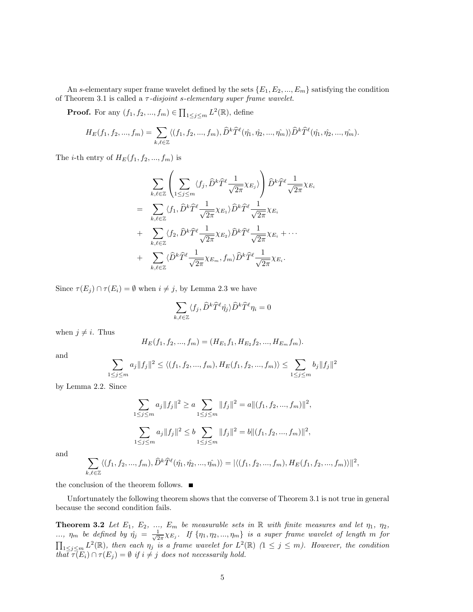An s-elementary super frame wavelet defined by the sets  $\{E_1, E_2, ..., E_m\}$  satisfying the condition of Theorem 3.1 is called a  $\tau$ -disjoint s-elementary super frame wavelet.

**Proof.** For any  $(f_1, f_2, ..., f_m) \in \prod_{1 \leq j \leq m} L^2(\mathbb{R})$ , define

$$
H_E(f_1, f_2, ..., f_m) = \sum_{k,\ell \in \mathbb{Z}} \langle (f_1, f_2, ..., f_m), \widehat{D}^k \widehat{T}^{\ell}(\hat{\eta_1}, \hat{\eta_2}, ..., \hat{\eta_m}) \rangle \widehat{D}^k \widehat{T}^{\ell}(\hat{\eta_1}, \hat{\eta_2}, ..., \hat{\eta_m}).
$$

The *i*-th entry of  $H_E(f_1, f_2, ..., f_m)$  is

$$
\sum_{k,\ell\in\mathbb{Z}}\left(\sum_{1\leq j\leq m}\langle f_j,\widehat{D}^k\widehat{T}^{\ell}\frac{1}{\sqrt{2\pi}}\chi_{E_j}\rangle\right)\widehat{D}^k\widehat{T}^{\ell}\frac{1}{\sqrt{2\pi}}\chi_{E_i}
$$
\n
$$
=\sum_{k,\ell\in\mathbb{Z}}\langle f_1,\widehat{D}^k\widehat{T}^{\ell}\frac{1}{\sqrt{2\pi}}\chi_{E_1}\rangle\widehat{D}^k\widehat{T}^{\ell}\frac{1}{\sqrt{2\pi}}\chi_{E_i}
$$
\n
$$
+\sum_{k,\ell\in\mathbb{Z}}\langle f_2,\widehat{D}^k\widehat{T}^{\ell}\frac{1}{\sqrt{2\pi}}\chi_{E_2}\rangle\widehat{D}^k\widehat{T}^{\ell}\frac{1}{\sqrt{2\pi}}\chi_{E_i}+\cdots
$$
\n
$$
+\sum_{k,\ell\in\mathbb{Z}}\langle\widehat{D}^k\widehat{T}^{\ell}\frac{1}{\sqrt{2\pi}}\chi_{E_m},f_m\rangle\widehat{D}^k\widehat{T}^{\ell}\frac{1}{\sqrt{2\pi}}\chi_{E_i}.
$$

Since  $\tau(E_j) \cap \tau(E_i) = \emptyset$  when  $i \neq j$ , by Lemma 2.3 we have

$$
\sum_{k,\ell\in\mathbb{Z}}\langle f_j,\widehat D^k\widehat T^\ell\hat{\eta_j}\rangle\widehat D^k\widehat T^\ell\eta_i=0
$$

when  $j \neq i$ . Thus

$$
H_E(f_1, f_2, ..., f_m) = (H_{E_1}f_1, H_{E_2}f_2, ..., H_{E_m}f_m).
$$

and

$$
\sum_{1 \leq j \leq m} a_j \|f_j\|^2 \leq \langle (f_1, f_2, ..., f_m), H_E(f_1, f_2, ..., f_m) \rangle \leq \sum_{1 \leq j \leq m} b_j \|f_j\|^2
$$

by Lemma 2.2. Since

$$
\sum_{1 \le j \le m} a_j \|f_j\|^2 \ge a \sum_{1 \le j \le m} \|f_j\|^2 = a \|(f_1, f_2, ..., f_m)\|^2,
$$
  

$$
\sum_{1 \le j \le m} a_j \|f_j\|^2 \le b \sum_{1 \le j \le m} \|f_j\|^2 = b \|(f_1, f_2, ..., f_m)\|^2,
$$

and

$$
\sum_{k,\ell\in\mathbb{Z}}\langle (f_1,f_2,...,f_m),\widehat{D}^k\widehat{T}^{\ell}(\hat{\eta_1},\hat{\eta_2},...,\hat{\eta_m})\rangle=|\langle (f_1,f_2,...,f_m),H_E(f_1,f_2,...,f_m)\rangle\|^2,
$$

the conclusion of the theorem follows.  $\blacksquare$ 

Unfortunately the following theorem shows that the converse of Theorem 3.1 is not true in general because the second condition fails.

**Theorem 3.2** Let  $E_1$ ,  $E_2$ , ...,  $E_m$  be measurable sets in  $\mathbb R$  with finite measures and let  $\eta_1$ ,  $\eta_2$ , ...,  $\eta_m$  be defined by  $\hat{\eta}_j = \frac{1}{\sqrt{2}}$  $\frac{1}{2\pi}\chi_{E_j}$ . If  $\{\eta_1, \eta_2, ..., \eta_m\}$  is a super frame wavelet of length m for  $\prod_{1\leq j\leq m} L^2(\mathbb{R})$ , then each  $\eta_j$  is a frame wavelet for  $L^2(\mathbb{R})$   $(1 \leq j \leq m)$ . However, the condition that  $\tau(E_i) \cap \tau(E_j) = \emptyset$  if  $i \neq j$  does not necessarily hold.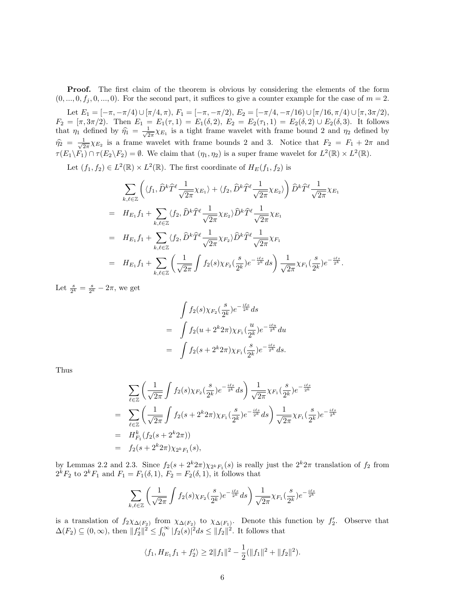Proof. The first claim of the theorem is obvious by considering the elements of the form  $(0, ..., 0, f_i, 0, ..., 0)$ . For the second part, it suffices to give a counter example for the case of  $m = 2$ .

Let  $E_1 = [-\pi, -\pi/4] \cup [\pi/4, \pi), F_1 = [-\pi, -\pi/2), E_2 = [-\pi/4, -\pi/16] \cup [\pi/16, \pi/4] \cup [\pi, 3\pi/2),$  $F_2 = [\pi, 3\pi/2)$ . Then  $E_1 = E_1(\tau, 1) = E_1(\delta, 2)$ ,  $E_2 = E_2(\tau_1, 1) = E_2(\delta, 2) \cup E_2(\delta, 3)$ . It follows that  $\eta_1$  defined by  $\hat{\eta}_1 = \frac{1}{\sqrt{2}}$  $\frac{1}{2\pi}\chi_{E_1}$  is a tight frame wavelet with frame bound 2 and  $\eta_2$  defined by  $\widehat{\eta}_2 = \frac{1}{\sqrt{2}}$  $\frac{1}{2\pi}\chi_{E_2}$  is a frame wavelet with frame bounds 2 and 3. Notice that  $F_2 = F_1 + 2\pi$  and  $\tau(E_1\backslash F_1)\cap \tau(E_2\backslash F_2)=\emptyset$ . We claim that  $(\eta_1,\eta_2)$  is a super frame wavelet for  $L^2(\mathbb{R})\times L^2(\mathbb{R})$ .

Let  $(f_1, f_2) \in L^2(\mathbb{R}) \times L^2(\mathbb{R})$ . The first coordinate of  $H_E(f_1, f_2)$  is

$$
\sum_{k,\ell\in\mathbb{Z}} \left( \langle f_1, \hat{D}^k \hat{T}^\ell \frac{1}{\sqrt{2\pi}} \chi_{E_1} \rangle + \langle f_2, \hat{D}^k \hat{T}^\ell \frac{1}{\sqrt{2\pi}} \chi_{E_2} \rangle \right) \hat{D}^k \hat{T}^\ell \frac{1}{\sqrt{2\pi}} \chi_{E_1}
$$
\n
$$
= H_{E_1} f_1 + \sum_{k,\ell\in\mathbb{Z}} \langle f_2, \hat{D}^k \hat{T}^\ell \frac{1}{\sqrt{2\pi}} \chi_{E_2} \rangle \hat{D}^k \hat{T}^\ell \frac{1}{\sqrt{2\pi}} \chi_{E_1}
$$
\n
$$
= H_{E_1} f_1 + \sum_{k,\ell\in\mathbb{Z}} \langle f_2, \hat{D}^k \hat{T}^\ell \frac{1}{\sqrt{2\pi}} \chi_{F_2} \rangle \hat{D}^k \hat{T}^\ell \frac{1}{\sqrt{2\pi}} \chi_{F_1}
$$
\n
$$
= H_{E_1} f_1 + \sum_{k,\ell\in\mathbb{Z}} \left( \frac{1}{\sqrt{2\pi}} \int f_2(s) \chi_{F_2}(\frac{s}{2^k}) e^{-\frac{i\ell s}{2^k}} ds \right) \frac{1}{\sqrt{2\pi}} \chi_{F_1}(\frac{s}{2^k}) e^{-\frac{i\ell s}{2^k}}.
$$

Let  $\frac{s}{2^k} = \frac{s}{2^k} - 2\pi$ , we get

$$
\int f_2(s) \chi_{F_2}(\frac{s}{2^k}) e^{-\frac{i\ell s}{2^k}} ds
$$
\n
$$
= \int f_2(u + 2^k 2\pi) \chi_{F_1}(\frac{u}{2^k}) e^{-\frac{i\ell u}{2^k}} du
$$
\n
$$
= \int f_2(s + 2^k 2\pi) \chi_{F_1}(\frac{s}{2^k}) e^{-\frac{i\ell s}{2^k}} ds.
$$

Thus

$$
\sum_{\ell \in \mathbb{Z}} \left( \frac{1}{\sqrt{2\pi}} \int f_2(s) \chi_{F_2}(\frac{s}{2^k}) e^{-\frac{i\ell s}{2^k}} ds \right) \frac{1}{\sqrt{2\pi}} \chi_{F_1}(\frac{s}{2^k}) e^{-\frac{i\ell s}{2^k}}
$$
\n
$$
= \sum_{\ell \in \mathbb{Z}} \left( \frac{1}{\sqrt{2\pi}} \int f_2(s + 2^k 2\pi) \chi_{F_1}(\frac{s}{2^k}) e^{-\frac{i\ell s}{2^k}} ds \right) \frac{1}{\sqrt{2\pi}} \chi_{F_1}(\frac{s}{2^k}) e^{-\frac{i\ell s}{2^k}}
$$
\n
$$
= H_{F_1}^k (f_2(s + 2^k 2\pi))
$$
\n
$$
= f_2(s + 2^k 2\pi) \chi_{2^k F_1}(s),
$$

by Lemmas 2.2 and 2.3. Since  $f_2(s + 2^k 2\pi) \chi_{2^k F_1}(s)$  is really just the  $2^k 2\pi$  translation of  $f_2$  from  $2^{k}F_{2}$  to  $2^{k}F_{1}$  and  $F_{1} = F_{1}(\delta, 1), F_{2} = F_{2}(\delta, 1),$  it follows that

$$
\sum_{k,\ell \in \mathbb{Z}} \left( \frac{1}{\sqrt{2\pi}} \int f_2(s) \chi_{F_2}(\frac{s}{2^k}) e^{-\frac{i\ell s}{2^k}} ds \right) \frac{1}{\sqrt{2\pi}} \chi_{F_1}(\frac{s}{2^k}) e^{-\frac{i\ell s}{2^k}}
$$

is a translation of  $f_2 \chi_{\Delta(F_2)}$  from  $\chi_{\Delta(F_2)}$  to  $\chi_{\Delta(F_1)}$ . Denote this function by  $f_2'$ . Observe that  $\Delta(F_2) \subseteq (0, \infty)$ , then  $||f_2'||^2 \leq \int_0^\infty |f_2(s)|^2 ds \leq ||f_2||^2$ . It follows that

$$
\langle f_1, H_{E_1}f_1 + f'_2 \rangle \ge 2||f_1||^2 - \frac{1}{2} (||f_1||^2 + ||f_2||^2).
$$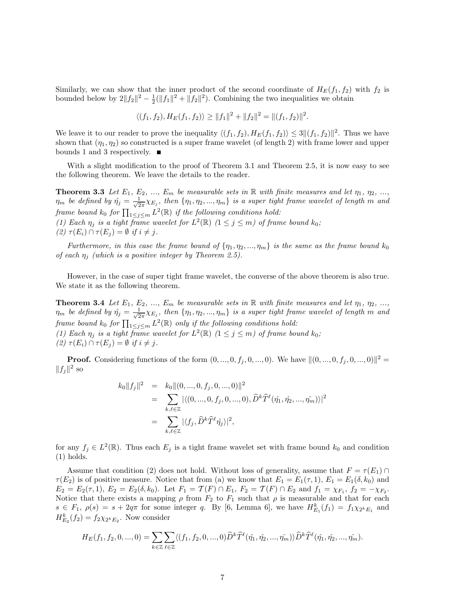Similarly, we can show that the inner product of the second coordinate of  $H_E(f_1, f_2)$  with  $f_2$  is bounded below by  $2||f_2||^2 - \frac{1}{2}(||f_1||^2 + ||f_2||^2)$ . Combining the two inequalities we obtain

$$
\langle (f_1, f_2), H_E(f_1, f_2) \rangle \ge ||f_1||^2 + ||f_2||^2 = ||(f_1, f_2)||^2.
$$

We leave it to our reader to prove the inequality  $\langle (f_1, f_2), H_E(f_1, f_2) \rangle \leq 3 ||(f_1, f_2)||^2$ . Thus we have shown that  $(\eta_1, \eta_2)$  so constructed is a super frame wavelet (of length 2) with frame lower and upper bounds 1 and 3 respectively.

With a slight modification to the proof of Theorem 3.1 and Theorem 2.5, it is now easy to see the following theorem. We leave the details to the reader.

**Theorem 3.3** Let  $E_1, E_2, ..., E_m$  be measurable sets in R with finite measures and let  $\eta_1, \eta_2, ...,$  $\eta_m$  be defined by  $\hat{\eta}_j = \frac{1}{\sqrt{2}}$  $\frac{1}{2\pi}\chi_{E_j}$ , then  $\{\eta_1, \eta_2, ..., \eta_m\}$  is a super tight frame wavelet of length m and frame bound  $k_0$  for  $\prod_{1\leq j\leq m} L^2(\mathbb{R})$  if the following conditions hold: (1) Each  $\eta_j$  is a tight frame wavelet for  $L^2(\mathbb{R})$   $(1 \leq j \leq m)$  of frame bound  $k_0$ ;

(2)  $\tau(E_i) \cap \tau(E_j) = \emptyset$  if  $i \neq j$ .

Furthermore, in this case the frame bound of  $\{\eta_1, \eta_2, ..., \eta_m\}$  is the same as the frame bound  $k_0$ of each  $\eta_j$  (which is a positive integer by Theorem 2.5).

However, in the case of super tight frame wavelet, the converse of the above theorem is also true. We state it as the following theorem.

**Theorem 3.4** Let  $E_1, E_2, ..., E_m$  be measurable sets in  $\mathbb R$  with finite measures and let  $\eta_1, \eta_2, ...,$  $\eta_m$  be defined by  $\hat{\eta}_j = \frac{1}{\sqrt{2}}$  $\frac{1}{2\pi}\chi_{E_j}$ , then  $\{\eta_1, \eta_2, ..., \eta_m\}$  is a super tight frame wavelet of length m and frame bound  $k_0$  for  $\prod_{1 \leq j \leq m} L^2(\mathbb{R})$  only if the following conditions hold: (1) Each  $\eta_j$  is a tight frame wavelet for  $L^2(\mathbb{R})$   $(1 \leq j \leq m)$  of frame bound  $k_0$ ; (2)  $\tau(E_i) \cap \tau(E_j) = \emptyset$  if  $i \neq j$ .

**Proof.** Considering functions of the form  $(0, ..., 0, f_j, 0, ..., 0)$ . We have  $||(0, ..., 0, f_j, 0, ..., 0)||^2 =$  $||f_j||^2$  so

$$
k_0||f_j||^2 = k_0||(0, ..., 0, f_j, 0, ..., 0)||^2
$$
  
= 
$$
\sum_{k,\ell \in \mathbb{Z}} |\langle (0, ..., 0, f_j, 0, ..., 0), \hat{D}^k \hat{T}^{\ell}(\hat{\eta}_1, \hat{\eta}_2, ..., \hat{\eta}_m) \rangle|^2
$$
  
= 
$$
\sum_{k,\ell \in \mathbb{Z}} |\langle f_j, \hat{D}^k \hat{T}^{\ell} \hat{\eta}_j \rangle|^2,
$$

for any  $f_j \in L^2(\mathbb{R})$ . Thus each  $E_j$  is a tight frame wavelet set with frame bound  $k_0$  and condition (1) holds.

Assume that condition (2) does not hold. Without loss of generality, assume that  $F = \tau(E_1) \cap$  $\tau(E_2)$  is of positive measure. Notice that from (a) we know that  $E_1 = E_1(\tau, 1)$ ,  $E_1 = E_1(\delta, k_0)$  and  $E_2 = E_2(\tau, 1), E_2 = E_2(\delta, k_0)$ . Let  $F_1 = \mathcal{T}(F) \cap E_1, F_2 = \mathcal{T}(F) \cap E_2$  and  $f_1 = \chi_{F_1}, f_2 = -\chi_{F_2}$ . Notice that there exists a mapping  $\rho$  from  $F_2$  to  $F_1$  such that  $\rho$  is measurable and that for each  $s \in F_1$ ,  $\rho(s) = s + 2q\pi$  for some integer q. By [6, Lemma 6], we have  $H_{E_1}^k(f_1) = f_1 \chi_{2^k E_1}$  and  $H_{E_2}^k(f_2) = f_2 \chi_{2^k E_2}$ . Now consider

$$
H_E(f_1, f_2, 0, ..., 0) = \sum_{k \in \mathbb{Z}} \sum_{\ell \in \mathbb{Z}} \langle (f_1, f_2, 0, ..., 0) \hat{D}^k \hat{T}^{\ell}(\hat{\eta_1}, \hat{\eta_2}, ..., \hat{\eta_m}) \rangle \hat{D}^k \hat{T}^{\ell}(\hat{\eta_1}, \hat{\eta_2}, ..., \hat{\eta_m}).
$$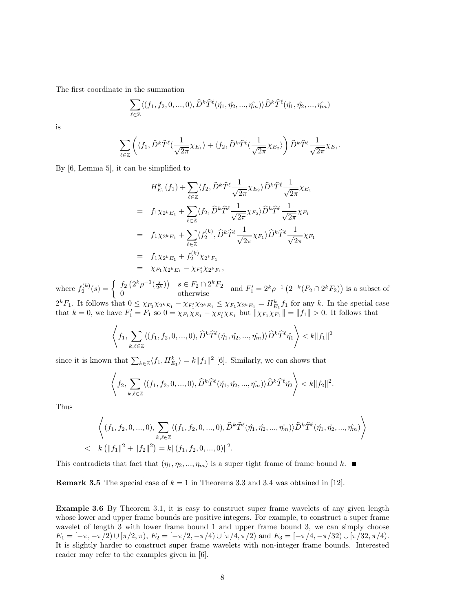The first coordinate in the summation

$$
\sum_{\ell \in \mathbb{Z}} \langle (f_1, f_2, 0, \ldots, 0), \widehat{D}^k \widehat{T}^{\ell}(\hat{\eta_1}, \hat{\eta_2}, \ldots, \hat{\eta_m}) \rangle \widehat{D}^k \widehat{T}^{\ell}(\hat{\eta_1}, \hat{\eta_2}, \ldots, \hat{\eta_m})
$$

is

$$
\sum_{\ell \in \mathbb{Z}} \left( \langle f_1, \widehat{D}^k \widehat{T}^{\ell}(\frac{1}{\sqrt{2\pi}} \chi_{E_1} \rangle + \langle f_2, \widehat{D}^k \widehat{T}^{\ell}(\frac{1}{\sqrt{2\pi}} \chi_{E_2} \rangle \right) \widehat{D}^k \widehat{T}^{\ell} \frac{1}{\sqrt{2\pi}} \chi_{E_1}.
$$

By [6, Lemma 5], it can be simplified to

$$
H_{E_1}^{k}(f_1) + \sum_{\ell \in \mathbb{Z}} \langle f_2, \hat{D}^{k} \hat{T}^{\ell} \frac{1}{\sqrt{2\pi}} \chi_{E_2} \rangle \hat{D}^{k} \hat{T}^{\ell} \frac{1}{\sqrt{2\pi}} \chi_{E_1}
$$
  
\n
$$
= f_1 \chi_{2^{k}E_1} + \sum_{\ell \in \mathbb{Z}} \langle f_2, \hat{D}^{k} \hat{T}^{\ell} \frac{1}{\sqrt{2\pi}} \chi_{F_2} \rangle \hat{D}^{k} \hat{T}^{\ell} \frac{1}{\sqrt{2\pi}} \chi_{F_1}
$$
  
\n
$$
= f_1 \chi_{2^{k}E_1} + \sum_{\ell \in \mathbb{Z}} \langle f_2^{(k)}, \hat{D}^{k} \hat{T}^{\ell} \frac{1}{\sqrt{2\pi}} \chi_{F_1} \rangle \hat{D}^{k} \hat{T}^{\ell} \frac{1}{\sqrt{2\pi}} \chi_{F_1}
$$
  
\n
$$
= f_1 \chi_{2^{k}E_1} + f_2^{(k)} \chi_{2^{k}F_1}
$$
  
\n
$$
= \chi_{F_1} \chi_{2^{k}E_1} - \chi_{F_1'} \chi_{2^{k}F_1},
$$

where  $f_2^{(k)}(s) = \begin{cases} f_2(2^k \rho^{-1}(\frac{s}{2^k})) & s \in F_2 \cap 2^k F_2 \\ 0 & \text{otherwise} \end{cases}$  and  $F_1' = 2^k \rho^{-1}(2^{-k}(F_2 \cap 2^k F_2))$  is a subset of  $2^k F_1$ . It follows that  $0 \leq \chi_{F_1} \chi_{2^k E_1} - \chi_{F_1'} \chi_{2^k E_1} \leq \chi_{F_1} \chi_{2^k E_1} = H_{E_1}^k f_1$  for any k. In the special case that  $k = 0$ , we have  $F'_1 = F_1$  so  $0 = \chi_{F_1} \chi_{F_1} - \chi_{F'_1} \chi_{F_1}$  but  $||\chi_{F_1} \chi_{F_1}|| = ||f_1|| > 0$ . It follows that

$$
\left\langle f_1, \sum_{k,\ell \in \mathbb{Z}} \langle (f_1, f_2, 0, ..., 0), \widehat{D}^k \widehat{T}^{\ell}(\hat{\eta_1}, \hat{\eta_2}, ..., \hat{\eta_m}) \rangle \widehat{D}^k \widehat{T}^{\ell} \hat{\eta_1} \right\rangle < k \|f_1\|^2
$$

since it is known that  $\sum_{k \in \mathbb{Z}} \langle f_1, H_{E_1}^k \rangle = k ||f_1||^2$  [6]. Similarly, we can shows that

$$
\left\langle f_2, \sum_{k,\ell \in \mathbb{Z}} \langle (f_1, f_2, 0, ..., 0), \widehat{D}^k \widehat{T}^{\ell}(\hat{\eta_1}, \hat{\eta_2}, ..., \hat{\eta_m}) \rangle \widehat{D}^k \widehat{T}^{\ell} \hat{\eta_2} \right\rangle < k \|f_2\|^2.
$$

Thus

$$
\left\langle (f_1, f_2, 0, ..., 0), \sum_{k,\ell \in \mathbb{Z}} \langle (f_1, f_2, 0, ..., 0), \widehat{D}^k \widehat{T}^{\ell}(\hat{\eta_1}, \hat{\eta_2}, ..., \hat{\eta_m}) \rangle \widehat{D}^k \widehat{T}^{\ell}(\hat{\eta_1}, \hat{\eta_2}, ..., \hat{\eta_m}) \right\rangle
$$
  

$$
\left\langle k \left( \|f_1\|^2 + \|f_2\|^2 \right) = k \|(f_1, f_2, 0, ..., 0)\|^2.
$$

This contradicts that fact that  $(\eta_1, \eta_2, ..., \eta_m)$  is a super tight frame of frame bound k.

**Remark 3.5** The special case of  $k = 1$  in Theorems 3.3 and 3.4 was obtained in [12].

Example 3.6 By Theorem 3.1, it is easy to construct super frame wavelets of any given length whose lower and upper frame bounds are positive integers. For example, to construct a super frame wavelet of length 3 with lower frame bound 1 and upper frame bound 3, we can simply choose  $E_1 = [-\pi, -\pi/2] \cup [\pi/2, \pi), E_2 = [-\pi/2, -\pi/4] \cup [\pi/4, \pi/2)$  and  $E_3 = [-\pi/4, -\pi/32] \cup [\pi/32, \pi/4]$ . It is slightly harder to construct super frame wavelets with non-integer frame bounds. Interested reader may refer to the examples given in [6].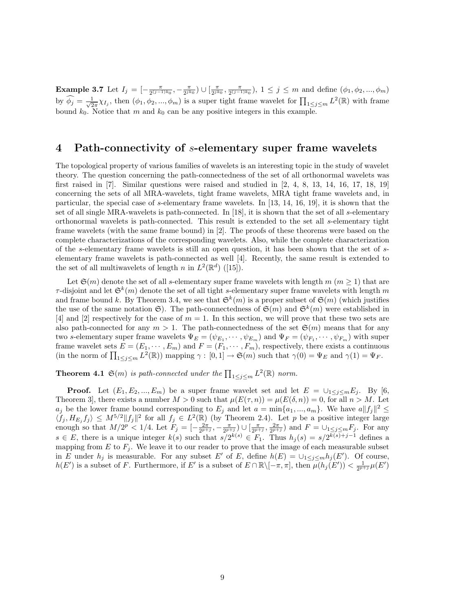**Example 3.7** Let  $I_j = \begin{bmatrix} -\frac{\pi}{2(j-1)} \end{bmatrix}$  $\frac{\pi}{2^{(j-1)k_0}}, -\frac{\pi}{2^{jk_0}}$ )  $\cup$   $\left[\frac{\pi}{2^{jk_0}}, \frac{\pi}{2^{(j-1)}}\right]$  $\frac{\pi}{2^{(j-1)k_0}}$ ,  $1 \leq j \leq m$  and define  $(\phi_1, \phi_2, ..., \phi_m)$ by  $\widehat{\phi}_j = \frac{1}{\sqrt{2}}$  $\frac{1}{2\pi}\chi_{I_j}$ , then  $(\phi_1, \phi_2, ..., \phi_m)$  is a super tight frame wavelet for  $\prod_{1 \leq j \leq m} L^2(\mathbb{R})$  with frame bound  $k_0$ . Notice that m and  $k_0$  can be any positive integers in this example.

### 4 Path-connectivity of s-elementary super frame wavelets

The topological property of various families of wavelets is an interesting topic in the study of wavelet theory. The question concerning the path-connectedness of the set of all orthonormal wavelets was first raised in  $[7]$ . Similar questions were raised and studied in  $[2, 4, 8, 13, 14, 16, 17, 18, 19]$ concerning the sets of all MRA-wavelets, tight frame wavelets, MRA tight frame wavelets and, in particular, the special case of s-elementary frame wavelets. In [13, 14, 16, 19], it is shown that the set of all single MRA-wavelets is path-connected. In [18], it is shown that the set of all s-elementary orthonormal wavelets is path-connected. This result is extended to the set all s-elementary tight frame wavelets (with the same frame bound) in [2]. The proofs of these theorems were based on the complete characterizations of the corresponding wavelets. Also, while the complete characterization of the s-elementary frame wavelets is still an open question, it has been shown that the set of selementary frame wavelets is path-connected as well [4]. Recently, the same result is extended to the set of all multiwavelets of length n in  $L^2(\mathbb{R}^d)$  ([15]).

Let  $\mathfrak{S}(m)$  denote the set of all s-elementary super frame wavelets with length m  $(m \geq 1)$  that are  $\tau$ -disjoint and let  $\mathfrak{S}^k(m)$  denote the set of all tight s-elementary super frame wavelets with length m and frame bound k. By Theorem 3.4, we see that  $\mathfrak{S}^k(m)$  is a proper subset of  $\mathfrak{S}(m)$  (which justifies the use of the same notation  $\mathfrak{S}$ ). The path-connectedness of  $\mathfrak{S}(m)$  and  $\mathfrak{S}^{k}(m)$  were established in [4] and [2] respectively for the case of  $m = 1$ . In this section, we will prove that these two sets are also path-connected for any  $m > 1$ . The path-connectedness of the set  $\mathfrak{S}(m)$  means that for any two s-elementary super frame wavelets  $\Psi_E = (\psi_{E_1}, \dots, \psi_{E_m})$  and  $\Psi_F = (\psi_{F_1}, \dots, \psi_{F_m})$  with super frame wavelet sets  $E = (E_1, \dots, E_m)$  and  $F = (F_1, \dots, F_m)$ , respectively, there exists a continuous (in the norm of  $\prod_{1 \leq j \leq m} L^2(\mathbb{R})$ ) mapping  $\gamma : [0,1] \to \mathfrak{S}(m)$  such that  $\gamma(0) = \Psi_E$  and  $\gamma(1) = \Psi_F$ .

**Theorem 4.1**  $\mathfrak{S}(m)$  is path-connected under the  $\prod_{1 \leq j \leq m} L^2(\mathbb{R})$  norm.

**Proof.** Let  $(E_1, E_2, ..., E_m)$  be a super frame wavelet set and let  $E = \bigcup_{1 \leq j \leq m} E_j$ . By [6, Theorem 3, there exists a number  $M > 0$  such that  $\mu(E(\tau, n)) = \mu(E(\delta, n)) = 0$ , for all  $n > M$ . Let  $a_j$  be the lower frame bound corresponding to  $E_j$  and let  $a = \min\{a_1, ..., a_m\}$ . We have  $a||f_j||^2 \leq$  $\langle f_j, H_{E_j} f_j \rangle \leq M^{5/2} \|f_j\|^2$  for all  $f_j \in L^2(\mathbb{R})$  (by Theorem 2.4). Let p be a positive integer large enough so that  $M/2^p < 1/4$ . Let  $F_j = \left[-\frac{2\pi}{2^{p+j}}, -\frac{\pi}{2^{p+j}}\right] \cup \left[\frac{\pi}{2^{p+j}}, \frac{2\pi}{2^{p+j}}\right]$  and  $F = \cup_{1 \leq j \leq m} F_j$ . For any  $s \in E$ , there is a unique integer  $k(s)$  such that  $s/2^{k(s)} \in F_1$ . Thus  $h_j(s) = s/2^{k(s)+j-1}$  defines a mapping from  $E$  to  $F_i$ . We leave it to our reader to prove that the image of each measurable subset in E under  $h_j$  is measurable. For any subset E' of E, define  $h(E) = \bigcup_{1 \leq j \leq m} h_j(E')$ . Of course,  $h(E')$  is a subset of F. Furthermore, if E' is a subset of  $E \cap \mathbb{R} \setminus [-\pi, \pi]$ , then  $\mu(h_j(E')) < \frac{1}{2^{p+j}} \mu(E')$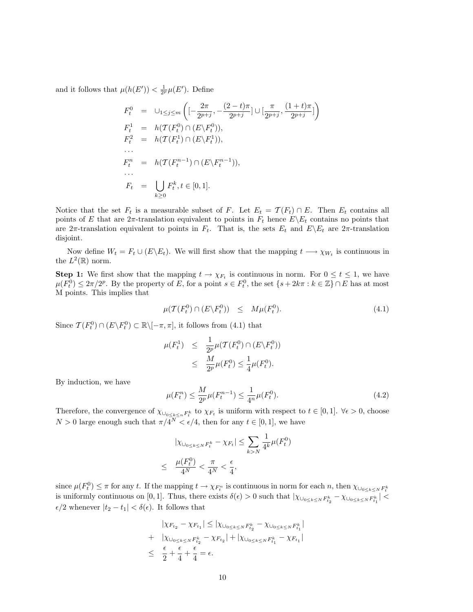and it follows that  $\mu(h(E')) < \frac{1}{2^p} \mu(E')$ . Define

$$
F_t^0 = \bigcup_{1 \le j \le m} \left( \left[ -\frac{2\pi}{2^{p+j}}, -\frac{(2-t)\pi}{2^{p+j}} \right] \cup \left[ \frac{\pi}{2^{p+j}}, \frac{(1+t)\pi}{2^{p+j}} \right] \right)
$$
  
\n
$$
F_t^1 = h(\mathcal{T}(F_t^0) \cap (E \setminus F_t^0)),
$$
  
\n
$$
F_t^n = h(\mathcal{T}(F_t^1) \cap (E \setminus F_t^1)),
$$
  
\n...  
\n
$$
F_t^n = h(\mathcal{T}(F_t^{n-1}) \cap (E \setminus F_t^{n-1})),
$$
  
\n...  
\n
$$
F_t = \bigcup_{k \ge 0} F_t^k, t \in [0, 1].
$$

Notice that the set  $F_t$  is a measurable subset of F. Let  $E_t = \mathcal{T}(F_t) \cap E$ . Then  $E_t$  contains all points of E that are  $2\pi$ -translation equivalent to points in  $F_t$  hence  $E\setminus E_t$  contains no points that are  $2\pi$ -translation equivalent to points in  $F_t$ . That is, the sets  $E_t$  and  $E\setminus E_t$  are  $2\pi$ -translation disjoint.

Now define  $W_t = F_t \cup (E \backslash E_t)$ . We will first show that the mapping  $t \longrightarrow \chi_{W_t}$  is continuous in the  $L^2(\mathbb{R})$  norm.

**Step 1:** We first show that the mapping  $t \to \chi_{F_t}$  is continuous in norm. For  $0 \le t \le 1$ , we have  $\mu(F_t^0) \leq 2\pi/2^p$ . By the property of E, for a point  $s \in F_t^0$ , the set  $\{s+2k\pi : k \in \mathbb{Z}\}\cap E$  has at most M points. This implies that

$$
\mu(\mathcal{T}(F_t^0) \cap (E \backslash F_t^0)) \leq M\mu(F_t^0). \tag{4.1}
$$

Since  $\mathcal{T}(F_t^0) \cap (E \backslash F_t^0) \subset \mathbb{R} \backslash [-\pi, \pi]$ , it follows from (4.1) that

$$
\mu(F_t^1) \leq \frac{1}{2^p} \mu(\mathcal{T}(F_t^0) \cap (E \backslash F_t^0))
$$
  
 
$$
\leq \frac{M}{2^p} \mu(F_t^0) \leq \frac{1}{4} \mu(F_t^0).
$$

By induction, we have

$$
\mu(F_t^n) \le \frac{M}{2^p} \mu(F_t^{n-1}) \le \frac{1}{4^n} \mu(F_t^0). \tag{4.2}
$$

Therefore, the convergence of  $\chi_{\bigcup_{0\leq k\leq n}F_t^k}$  to  $\chi_{F_t}$  is uniform with respect to  $t \in [0,1]$ .  $\forall \epsilon > 0$ , choose  $N > 0$  large enough such that  $\pi/4^N < \epsilon/4$ , then for any  $t \in [0,1]$ , we have

$$
|\chi_{\cup_{0\leq k\leq N}F_t^k} - \chi_{F_t}| \leq \sum_{k>N} \frac{1}{4^k} \mu(F_t^0)
$$
  

$$
\leq \frac{\mu(F_t^0)}{4^N} < \frac{\pi}{4^N} < \frac{\epsilon}{4},
$$

since  $\mu(F_t^0) \leq \pi$  for any t. If the mapping  $t \to \chi_{F_t^n}$  is continuous in norm for each n, then  $\chi_{\cup_{0 \leq k \leq N} F_t^k}$ is uniformly continuous on [0, 1]. Thus, there exists  $\delta(\epsilon) > 0$  such that  $|\chi_{\cup_{0 \leq k \leq N} F_{t_2}^k} - \chi_{\cup_{0 \leq k \leq N} F_{t_1}^k}|$  $\epsilon/2$  whenever  $|t_2 - t_1| < \delta(\epsilon)$ . It follows that

$$
| \chi_{F_{t_2}} - \chi_{F_{t_1}} | \leq |\chi_{\cup_{0 \leq k \leq N} F_{t_2}^k} - \chi_{\cup_{0 \leq k \leq N} F_{t_1}^k}|
$$
  
+ 
$$
|\chi_{\cup_{0 \leq k \leq N} F_{t_2}^k} - \chi_{F_{t_2}}| + |\chi_{\cup_{0 \leq k \leq N} F_{t_1}^k} - \chi_{F_{t_1}}|
$$
  

$$
\leq \frac{\epsilon}{2} + \frac{\epsilon}{4} + \frac{\epsilon}{4} = \epsilon.
$$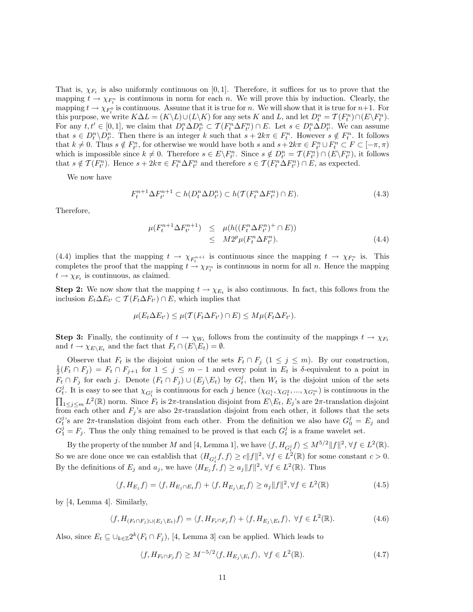That is,  $\chi_{F_t}$  is also uniformly continuous on [0,1]. Therefore, it suffices for us to prove that the mapping  $t \to \chi_{F_t^n}$  is continuous in norm for each n. We will prove this by induction. Clearly, the mapping  $t \to \chi_{F_t^0}$  is continuous. Assume that it is true for n. We will show that it is true for  $n+1$ . For this purpose, we write  $K\Delta L = (K\backslash L) \cup (L\backslash K)$  for any sets K and L, and let  $D_t^n = \mathcal{T}(F_t^n) \cap (E\backslash F_t^n)$ . For any  $t, t' \in [0, 1]$ , we claim that  $D_t^n \Delta D_{t'}^n \subset \mathcal{T}(F_t^n \Delta F_{t'}^n) \cap E$ . Let  $s \in D_t^n \Delta D_{t'}^n$ . We can assume that  $s \in D_t^n \backslash D_{t'}^n$ . Then there is an integer k such that  $s + 2k\pi \in F_t^n$ . However  $s \notin F_t^n$ . It follows that  $k \neq 0$ . Thus  $s \notin F_{t'}^n$ , for otherwise we would have both s and  $s + 2k\pi \in F_{t'}^n \cup F_t^n \subset F \subset [-\pi, \pi)$ which is impossible since  $k \neq 0$ . Therefore  $s \in E \backslash F_{t'}^n$ . Since  $s \notin D_{t'}^n = \mathcal{T}(F_{t'}^n) \cap (E \backslash F_{t'}^n)$ , it follows that  $s \notin \mathcal{T}(F_{t'}^n)$ . Hence  $s + 2k\pi \in F_t^n \Delta F_{t'}^n$  and therefore  $s \in \mathcal{T}(F_t^n \Delta F_{t'}^n) \cap E$ , as expected.

We now have

$$
F_t^{n+1} \Delta F_{t'}^{n+1} \subset h(D_t^n \Delta D_{t'}^n) \subset h(\mathcal{T}(F_t^n \Delta F_{t'}^n) \cap E). \tag{4.3}
$$

Therefore,

$$
\mu(F_t^{n+1} \Delta F_{t'}^{n+1}) \leq \mu(h((F_t^n \Delta F_{t'}^n)^+ \cap E))
$$
  

$$
\leq M 2^p \mu(F_t^n \Delta F_{t'}^n). \tag{4.4}
$$

(4.4) implies that the mapping  $t \to \chi_{F_t^{n+1}}$  is continuous since the mapping  $t \to \chi_{F_t^n}$  is. This completes the proof that the mapping  $t \to \chi_{F_t^n}$  is continuous in norm for all n. Hence the mapping  $t \to \chi_{F_t}$  is continuous, as claimed.

**Step 2:** We now show that the mapping  $t \to \chi_{E_t}$  is also continuous. In fact, this follows from the inclusion  $E_t \Delta E_{t'} \subset \mathcal{T}(F_t \Delta F_{t'}) \cap E$ , which implies that

$$
\mu(E_t \Delta E_{t'}) \leq \mu(\mathcal{T}(F_t \Delta F_{t'}) \cap E) \leq M \mu(F_t \Delta F_{t'}).
$$

**Step 3:** Finally, the continuity of  $t \to \chi_{W_t}$  follows from the continuity of the mappings  $t \to \chi_{F_t}$ and  $t \to \chi_{E\setminus E_t}$  and the fact that  $F_t \cap (E\setminus E_t) = \emptyset$ .

Observe that  $F_t$  is the disjoint union of the sets  $F_t \cap F_j$   $(1 \leq j \leq m)$ . By our construction,  $\frac{1}{2}(F_t \cap F_j) = F_t \cap F_{j+1}$  for  $1 \leq j \leq m-1$  and every point in  $E_t$  is  $\delta$ -equivalent to a point in  $\overline{F_t} \cap F_j$  for each j. Denote  $(F_t \cap F_j) \cup (E_j \backslash E_t)$  by  $G_t^j$ , then  $W_t$  is the disjoint union of the sets  $G_t^j$ . It is easy to see that  $\chi_{G_t^j}$  is continuous for each j hence  $(\chi_{G_t^1}, \chi_{G_t^2}, ..., \chi_{G_t^m})$  is continuous in the  $\prod_{1 \leq j \leq m} L^2(\mathbb{R})$  norm. Since  $F_t$  is  $2\pi$ -translation disjoint from  $E \setminus E_t$ ,  $E_j$ 's are  $2\pi$ -translation disjoint from each other and  $F_j$ 's are also  $2\pi$ -translation disjoint from each other, it follows that the sets  $G_t^j$ 's are  $2\pi$ -translation disjoint from each other. From the definition we also have  $G_0^j = E_j$  and  $G_1^j = F_j$ . Thus the only thing remained to be proved is that each  $G_t^j$  is a frame wavelet set.

By the property of the number M and [4, Lemma 1], we have  $\langle f, H_{G_t^j} f \rangle \le M^{5/2} ||f||^2$ ,  $\forall f \in L^2(\mathbb{R})$ . So we are done once we can establish that  $\langle H_{G_i^j} f, f \rangle \ge c ||f||^2$ ,  $\forall f \in L^2(\mathbb{R})$  for some constant  $c > 0$ . By the definitions of  $E_j$  and  $a_j$ , we have  $\langle H_{E_j} \hat{f}, f \rangle \ge a_j ||f||^2$ ,  $\forall f \in L^2(\mathbb{R})$ . Thus

$$
\langle f, H_{E_j} f \rangle = \langle f, H_{E_j \cap E_t} f \rangle + \langle f, H_{E_j \setminus E_t} f \rangle \ge a_j \| f \|^2, \forall f \in L^2(\mathbb{R})
$$
\n(4.5)

by [4, Lemma 4]. Similarly,

$$
\langle f, H_{(F_t \cap F_j) \cup (E_j \setminus E_t)} f \rangle = \langle f, H_{F_t \cap F_j} f \rangle + \langle f, H_{E_j \setminus E_t} f \rangle, \ \forall f \in L^2(\mathbb{R}). \tag{4.6}
$$

Also, since  $E_t \subseteq \bigcup_{k \in \mathbb{Z}} 2^k (F_t \cap F_j)$ , [4, Lemma 3] can be applied. Which leads to

$$
\langle f, H_{F_t \cap F_j} f \rangle \ge M^{-5/2} \langle f, H_{E_j \backslash E_t} f \rangle, \ \forall f \in L^2(\mathbb{R}). \tag{4.7}
$$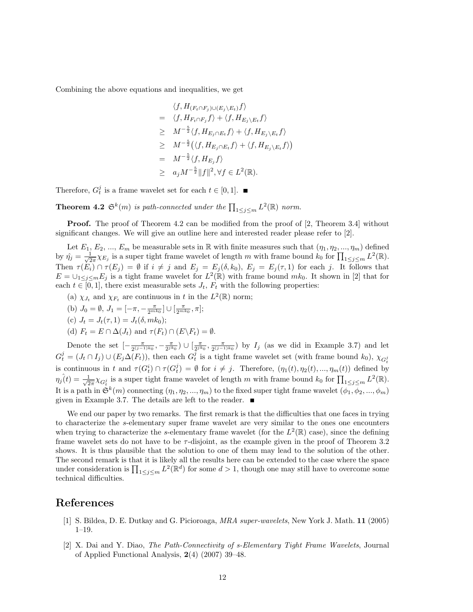Combining the above equations and inequalities, we get

$$
\langle f, H_{(F_t \cap F_j) \cup (E_j \setminus E_t)} f \rangle
$$
  
= 
$$
\langle f, H_{F_t \cap F_j} f \rangle + \langle f, H_{E_j \setminus E_t} f \rangle
$$
  

$$
\geq M^{-\frac{5}{2}} \langle f, H_{E_j \cap E_t} f \rangle + \langle f, H_{E_j \setminus E_t} f \rangle
$$
  

$$
\geq M^{-\frac{5}{2}} \langle f, H_{E_j \cap E_t} f \rangle + \langle f, H_{E_j \setminus E_t} f \rangle)
$$
  
= 
$$
M^{-\frac{5}{2}} \langle f, H_{E_j} f \rangle
$$
  

$$
\geq a_j M^{-\frac{5}{2}} ||f||^2, \forall f \in L^2(\mathbb{R}).
$$

Therefore,  $G_t^j$  is a frame wavelet set for each  $t \in [0, 1]$ .

**Theorem 4.2**  $\mathfrak{S}^k(m)$  is path-connected under the  $\prod_{1 \leq j \leq m} L^2(\mathbb{R})$  norm.

**Proof.** The proof of Theorem 4.2 can be modified from the proof of [2, Theorem 3.4] without significant changes. We will give an outline here and interested reader please refer to [2].

Let  $E_1, E_2, ..., E_m$  be measurable sets in R with finite measures such that  $(\eta_1, \eta_2, ..., \eta_m)$  defined by  $\hat{\eta}_j = \frac{1}{\sqrt{2}}$  $\frac{1}{2\pi}\chi_{E_j}$  is a super tight frame wavelet of length m with frame bound  $k_0$  for  $\prod_{1 \leq j \leq m} L^2(\mathbb{R})$ . Then  $\tau(E_i) \cap \tau(E_j) = \emptyset$  if  $i \neq j$  and  $E_j = E_j(\delta, k_0)$ ,  $E_j = E_j(\tau, 1)$  for each j. It follows that  $E = \bigcup_{1 \leq j \leq m} E_j$  is a tight frame wavelet for  $L^2(\mathbb{R})$  with frame bound  $mk_0$ . It shown in [2] that for each  $t \in [0, 1]$ , there exist measurable sets  $J_t$ ,  $F_t$  with the following properties:

- (a)  $\chi_{J_t}$  and  $\chi_{F_t}$  are continuous in t in the  $L^2(\mathbb{R})$  norm;
- (b)  $J_0 = \emptyset$ ,  $J_1 = \left[ -\pi, -\frac{\pi}{2^{mk_0}} \right] \cup \left[ \frac{\pi}{2^{mk_0}}, \pi \right]$ ;
- (c)  $J_t = J_t(\tau, 1) = J_t(\delta, mk_0);$
- (d)  $F_t = E \cap \Delta(J_t)$  and  $\tau(F_t) \cap (E \backslash F_t) = \emptyset$ .

Denote the set  $\left[-\frac{\pi}{2(1-\pi)}\right]$  $\frac{\pi}{2^{(j-1)k_0}}, -\frac{\pi}{2^{j k_0}}$ )  $\cup$   $\left[\frac{\pi}{2^{j k_0}}, \frac{\pi}{2^{(j-1)}}\right]$  $\frac{\pi}{2^{(j-1)k_0}}$  by  $I_j$  (as we did in Example 3.7) and let  $G_t^j = (J_t \cap I_j) \cup (E_j \Delta(F_t))$ , then each  $G_t^j$  is a tight frame wavelet set (with frame bound  $k_0$ ),  $\chi_{G_t^j}$ is continuous in t and  $\tau(G_t^i) \cap \tau(G_t^j) = \emptyset$  for  $i \neq j$ . Therefore,  $(\eta_1(t), \eta_2(t), ..., \eta_m(t))$  defined by  $\eta_j(t) = \frac{1}{\sqrt{2}}$  $\frac{1}{2\pi}\chi_{G_t^j}$  is a super tight frame wavelet of length m with frame bound  $k_0$  for  $\prod_{1\leq j\leq m} L^2(\mathbb{R})$ . It is a path in  $\mathfrak{S}^k(m)$  connecting  $(\eta_1, \eta_2, ..., \eta_m)$  to the fixed super tight frame wavelet  $(\phi_1, \phi_2, ..., \phi_m)$ given in Example 3.7. The details are left to the reader.  $\blacksquare$ 

We end our paper by two remarks. The first remark is that the difficulties that one faces in trying to characterize the s-elementary super frame wavelet are very similar to the ones one encounters when trying to characterize the s-elementary frame wavelet (for the  $L^2(\mathbb{R})$  case), since the defining frame wavelet sets do not have to be  $\tau$ -disjoint, as the example given in the proof of Theorem 3.2 shows. It is thus plausible that the solution to one of them may lead to the solution of the other. The second remark is that it is likely all the results here can be extended to the case where the space under consideration is  $\prod_{1 \leq j \leq m} L^2(\mathbb{R}^d)$  for some  $d > 1$ , though one may still have to overcome some technical difficulties.

# References

- [1] S. Bildea, D. E. Dutkay and G. Picioroaga, MRA super-wavelets, New York J. Math. 11 (2005) 1–19.
- [2] X. Dai and Y. Diao, The Path-Connectivity of s-Elementary Tight Frame Wavelets, Journal of Applied Functional Analysis, 2(4) (2007) 39–48.